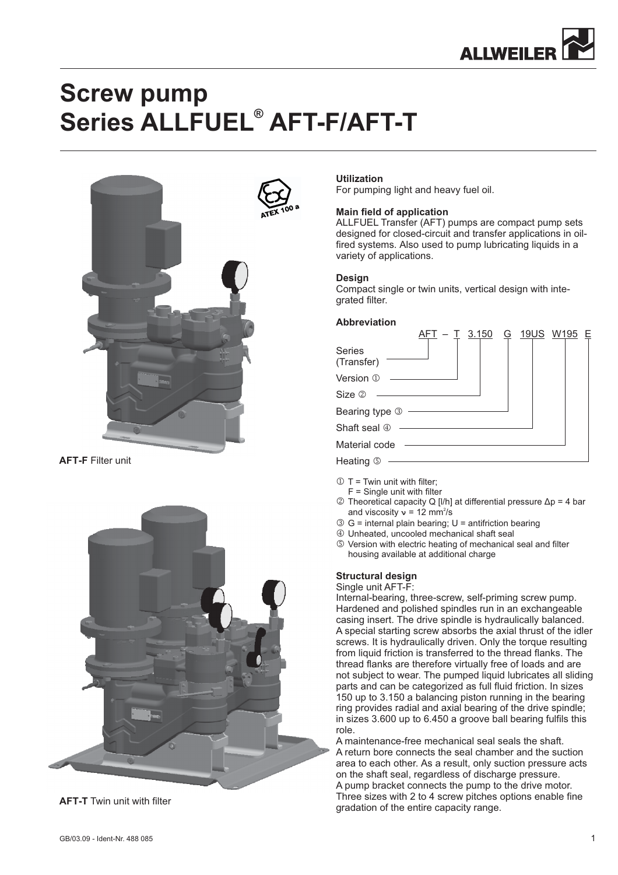

# **Screw pump** Series ALLFUEL<sup>®</sup> AFT-F/AFT-T



**AFT-F** Filter unit





## **Utilization**

For pumping light and heavy fuel oil.

#### **Main field of application**

ALLFUEL Transfer (AFT) pumps are compact pump sets designed for closed-circuit and transfer applications in oilfired systems. Also used to pump lubricating liquids in a variety of applications.

#### **Design**

Compact single or twin units, vertical design with integrated filter.

#### **Abbreviation**

|                       | <u>3.150</u> |  | <u>G 19US W195 E</u> |  |
|-----------------------|--------------|--|----------------------|--|
| Series<br>(Transfer)  |              |  |                      |  |
| Version 1             |              |  |                      |  |
| Size 2                |              |  |                      |  |
| Bearing type 3 —————— |              |  |                      |  |
| Shaft seal 4          |              |  |                      |  |
| Material code         |              |  |                      |  |
| Heating 5             |              |  |                      |  |

- $\mathbb{O}$  T = Twin unit with filter;
- $F =$  Single unit with filter  $\oslash$  Theoretical capacity Q [I/h] at differential pressure Δp = 4 bar and viscosity  $v = 12$  mm<sup>2</sup>/s
- $\circled{S}$  G = internal plain bearing; U = antifriction bearing
- Unheated, uncooled mechanical shaft seal
- Version with electric heating of mechanical seal and filter housing available at additional charge

#### **Structural design**

Single unit AFT-F:

Internal-bearing, three-screw, self-priming screw pump. Hardened and polished spindles run in an exchangeable casing insert. The drive spindle is hydraulically balanced. A special starting screw absorbs the axial thrust of the idler screws. It is hydraulically driven. Only the torque resulting from liquid friction is transferred to the thread flanks. The thread flanks are therefore virtually free of loads and are not subject to wear. The pumped liquid lubricates all sliding parts and can be categorized as full fluid friction. In sizes 150 up to 3.150 a balancing piston running in the bearing ring provides radial and axial bearing of the drive spindle; in sizes 3.600 up to 6.450 a groove ball bearing fulfils this role.

Three sizes with 2 to 4 screw pitches options enable fine gradation of the entire capacity range. A maintenance-free mechanical seal seals the shaft. A return bore connects the seal chamber and the suction area to each other. As a result, only suction pressure acts on the shaft seal, regardless of discharge pressure. A pump bracket connects the pump to the drive motor.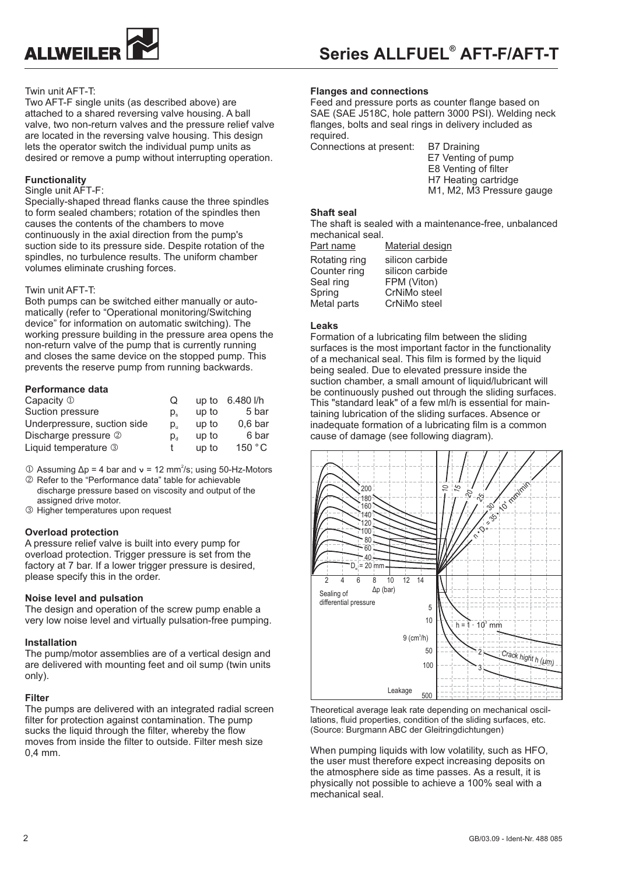

## Twin unit AFT-T:

Two AFT-F single units (as described above) are attached to a shared reversing valve housing. A ball valve, two non-return valves and the pressure relief valve are located in the reversing valve housing. This design lets the operator switch the individual pump units as desired or remove a pump without interrupting operation.

## **Functionality**

#### Single unit AFT-F

Specially-shaped thread flanks cause the three spindles to form sealed chambers; rotation of the spindles then causes the contents of the chambers to move continuously in the axial direction from the pump's suction side to its pressure side. Despite rotation of the spindles, no turbulence results. The uniform chamber volumes eliminate crushing forces.

#### Twin unit AFT-T:

Both pumps can be switched either manually or automatically (refer to "Operational monitoring/Switching device" for information on automatic switching). The working pressure building in the pressure area opens the non-return valve of the pump that is currently running and closes the same device on the stopped pump. This prevents the reserve pump from running backwards.

#### **Performance data**

| Capacity $\mathbb D$        | Ő                                    |       | up to 6.480 l/h    |
|-----------------------------|--------------------------------------|-------|--------------------|
| Suction pressure            | D.                                   | up to | 5 bar              |
| Underpressure, suction side | p.                                   | up to | 0.6 <sub>bar</sub> |
| Discharge pressure 2        | $\mathsf{p}_{\scriptscriptstyle{d}}$ | up to | 6 bar              |
| Liquid temperature 3        |                                      | up to | 150 °C             |

- $\Omega$  Assuming  $\Delta p = 4$  bar and  $\upsilon = 12$  mm<sup>2</sup>/s; using 50-Hz-Motors
- Refer to the "Performance data" table for achievable discharge pressure based on viscosity and output of the assigned drive motor.
- Higher temperatures upon request

#### **Overload protection**

A pressure relief valve is built into every pump for overload protection. Trigger pressure is set from the factory at 7 bar. If a lower trigger pressure is desired, please specify this in the order.

#### **Noise level and pulsation**

The design and operation of the screw pump enable a very low noise level and virtually pulsation-free pumping.

#### **Installation**

The pump/motor assemblies are of a vertical design and are delivered with mounting feet and oil sump (twin units only).

#### **Filter**

The pumps are delivered with an integrated radial screen filter for protection against contamination. The pump sucks the liquid through the filter, whereby the flow moves from inside the filter to outside. Filter mesh size 0,4 mm.

#### **Flanges and connections**

Feed and pressure ports as counter flange based on SAE (SAE J518C, hole pattern 3000 PSI). Welding neck flanges, bolts and seal rings in delivery included as required.

Connections at present: B7 Draining

E7 Venting of pump E8 Venting of filter H7 Heating cartridge M1, M2, M3 Pressure gauge

#### **Shaft seal**

The shaft is sealed with a maintenance-free, unbalanced mechanical seal.

| <u>Part name</u> | <b>Material design</b> |
|------------------|------------------------|
| Rotating ring    | silicon carbide        |
| Counter ring     | silicon carbide        |
| Seal ring        | FPM (Viton)            |
| Spring           | CrNiMo steel           |
| Metal parts      | CrNiMo steel           |
|                  |                        |

#### **Leaks**

Formation of a lubricating film between the sliding surfaces is the most important factor in the functionality of a mechanical seal. This film is formed by the liquid being sealed. Due to elevated pressure inside the suction chamber, a small amount of liquid/lubricant will be continuously pushed out through the sliding surfaces. This "standard leak" of a few ml/h is essential for maintaining lubrication of the sliding surfaces. Absence or inadequate formation of a lubricating film is a common cause of damage (see following diagram).



Theoretical average leak rate depending on mechanical oscillations, fluid properties, condition of the sliding surfaces, etc. (Source: Burgmann ABC der Gleitringdichtungen)

When pumping liquids with low volatility, such as HFO. the user must therefore expect increasing deposits on the atmosphere side as time passes. As a result, it is physically not possible to achieve a 100% seal with a mechanical seal.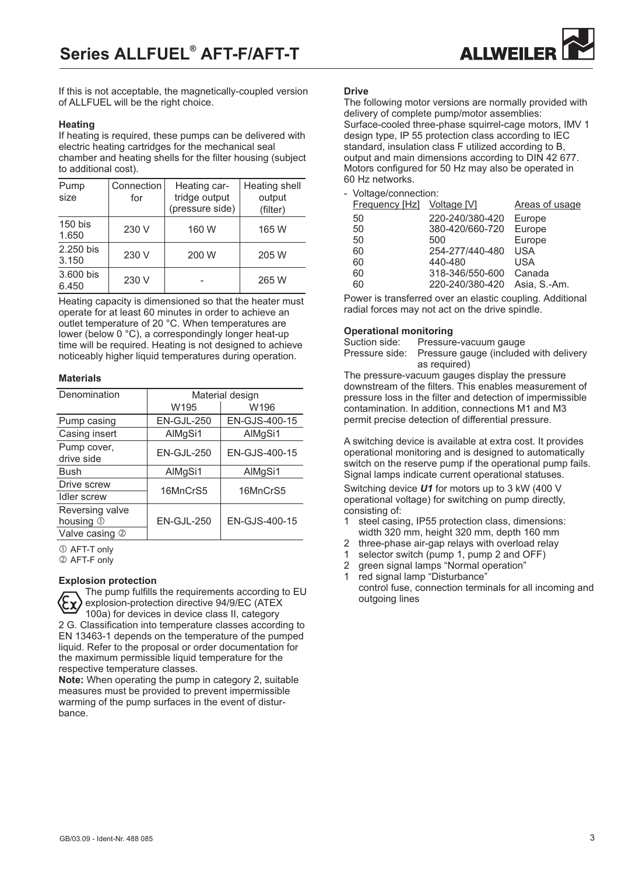

If this is not acceptable, the magnetically-coupled version of ALLFUEL will be the right choice. The following motor versions are normally provided with

#### **Heating**

If heating is required, these pumps can be delivered with electric heating cartridges for the mechanical seal chamber and heating shells for the filter housing (subject to additional cost).

| Pump<br>size       | Connection<br>for | Heating car-<br>tridge output<br>(pressure side) | Heating shell<br>output<br>(filter) |
|--------------------|-------------------|--------------------------------------------------|-------------------------------------|
| $150$ bis<br>1.650 | 230 V             | 160 W                                            | 165 W                               |
| 2.250 bis<br>3.150 | 230 V             | 200 W                                            | 205 W                               |
| 3.600 bis<br>6.450 | 230 V             |                                                  | 265 W                               |

Heating capacity is dimensioned so that the heater must operate for at least 60 minutes in order to achieve an outlet temperature of 20 °C. When temperatures are lower (below 0 °C), a correspondingly longer heat-up time will be required. Heating is not designed to achieve noticeably higher liquid temperatures during operation.

#### **Materials**

| Denomination                           | Material design |               |  |  |  |  |  |
|----------------------------------------|-----------------|---------------|--|--|--|--|--|
|                                        | W195            | W196          |  |  |  |  |  |
| Pump casing                            | EN-GJL-250      | EN-GJS-400-15 |  |  |  |  |  |
| Casing insert                          | AlMgSi1         | AlMgSi1       |  |  |  |  |  |
| Pump cover,<br>drive side              | EN-GJL-250      | EN-GJS-400-15 |  |  |  |  |  |
| <b>Bush</b>                            | AlMgSi1         | AlMgSi1       |  |  |  |  |  |
| Drive screw                            | 16MnCrS5        | 16MnCrS5      |  |  |  |  |  |
| <b>Idler</b> screw                     |                 |               |  |  |  |  |  |
| Reversing valve<br>housing $\mathbb O$ | EN-GJL-250      | EN-GJS-400-15 |  |  |  |  |  |
| Valve casing<br>$^{\circledR}$         |                 |               |  |  |  |  |  |

 $①$  AFT-T only

AFT-F only

#### **Explosion protection**

The pump fulfills the requirements according to EU explosion-protection directive 94/9/EC (ATEX 100a) for devices in device class II, category 2 G. Classification into temperature classes according to EN 13463-1 depends on the temperature of the pumped liquid. Refer to the proposal or order documentation for the maximum permissible liquid temperature for the respective temperature classes.

**Note:** When operating the pump in category 2, suitable measures must be provided to prevent impermissible warming of the pump surfaces in the event of disturbance.

#### **Drive**

delivery of complete pump/motor assemblies: Surface-cooled three-phase squirrel-cage motors, IMV 1 design type, IP 55 protection class according to IEC standard, insulation class F utilized according to B, output and main dimensions according to DIN 42 677. Motors configured for 50 Hz may also be operated in 60 Hz networks.

- Voltage/connection:

| Frequency [Hz] Voltage [V] |                 | Areas of usage |
|----------------------------|-----------------|----------------|
| 50                         | 220-240/380-420 | Europe         |
| 50                         | 380-420/660-720 | Europe         |
| 50                         | 500             | Europe         |
| 60                         | 254-277/440-480 | <b>USA</b>     |
| 60                         | 440-480         | USA            |
| 60                         | 318-346/550-600 | Canada         |
| 60                         | 220-240/380-420 | Asia, S.-Am.   |

Power is transferred over an elastic coupling. Additional radial forces may not act on the drive spindle.

#### **Operational monitoring**

| Suction side: | Pressure-vacuum gauge                                 |
|---------------|-------------------------------------------------------|
|               | Pressure side: Pressure gauge (included with delivery |
|               | as required)                                          |
|               |                                                       |

The pressure-vacuum gauges display the pressure downstream of the filters. This enables measurement of pressure loss in the filter and detection of impermissible contamination. In addition, connections M1 and M3 permit precise detection of differential pressure.

A switching device is available at extra cost. It provides operational monitoring and is designed to automatically switch on the reserve pump if the operational pump fails. Signal lamps indicate current operational statuses. Switching device **U1** for motors up to 3 kW (400 V

operational voltage) for switching on pump directly, consisting of:

- 1 steel casing, IP55 protection class, dimensions: width 320 mm, height 320 mm, depth 160 mm
- 2 three-phase air-gap relays with overload relay
- 1 selector switch (pump 1, pump 2 and OFF)<br>2 green signal lamps "Normal operation" 2 green signal lamps "Normal operation"
- 1 red signal lamp "Disturbance"
- control fuse, connection terminals for all incoming and outgoing lines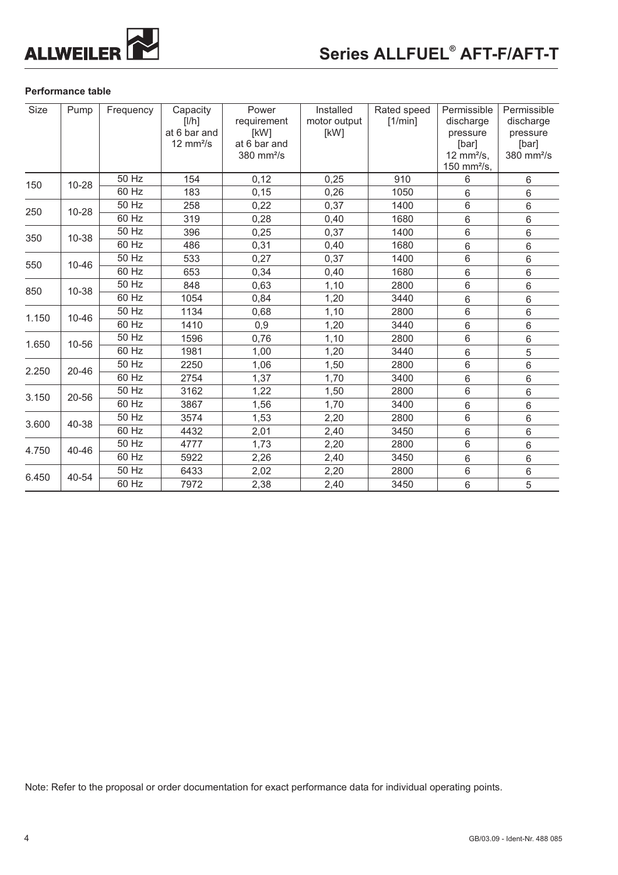

## **Performance table**

| Size         | Pump  | Frequency          | Capacity<br>[1/h]                          | Power<br>requirement                             | Installed<br>motor output | Rated speed<br>[1/min] | Permissible<br>discharge                   | Permissible<br>discharge                    |
|--------------|-------|--------------------|--------------------------------------------|--------------------------------------------------|---------------------------|------------------------|--------------------------------------------|---------------------------------------------|
|              |       |                    | at 6 bar and<br>$12 \text{ mm}^2/\text{s}$ | [kW]<br>at 6 bar and<br>$380$ mm <sup>2</sup> /s | [kW]                      |                        | pressure<br>[bar]<br>12 mm $\frac{2}{s}$ , | pressure<br>[bar]<br>380 mm <sup>2</sup> /s |
|              |       |                    |                                            |                                                  |                           |                        | 150 mm $^{2}/s$ ,                          |                                             |
| 150          | 10-28 | 50 Hz              | 154                                        | 0,12                                             | 0,25                      | 910                    | 6                                          | 6                                           |
|              |       | $60$ Hz            | 183                                        | 0,15                                             | 0,26                      | 1050                   | 6                                          | 6                                           |
| 250          | 10-28 | 50 Hz              | 258                                        | 0,22                                             | 0,37                      | 1400                   | $\,6$                                      | $\,6$                                       |
|              |       | 60 Hz              | 319                                        | 0,28                                             | 0,40                      | 1680                   | $6\phantom{1}$                             | 6                                           |
| 350          | 10-38 | 50 Hz              | 396                                        | 0,25                                             | 0,37                      | 1400                   | 6                                          | $6\phantom{a}$                              |
|              |       | 60 Hz              | 486                                        | 0,31                                             | 0,40                      | 1680                   | 6                                          | 6                                           |
| 550<br>10-46 | 50 Hz | 533                | 0,27                                       | 0,37                                             | 1400                      | 6                      | 6                                          |                                             |
|              | 60 Hz | 653                | 0,34                                       | 0,40                                             | 1680                      | 6                      | 6                                          |                                             |
| 850<br>10-38 |       | 50 Hz              | 848                                        | 0,63                                             | 1,10                      | 2800                   | $6\phantom{1}$                             | 6                                           |
|              |       | 60 Hz              | 1054                                       | 0,84                                             | 1,20                      | 3440                   | 6                                          | 6                                           |
|              |       | 50 Hz              | 1134                                       | 0,68                                             | 1,10                      | 2800                   | $\overline{6}$                             | 6                                           |
| 1.150        | 10-46 | 60 Hz              | 1410                                       | 0,9                                              | 1,20                      | 3440                   | 6                                          | 6                                           |
|              | 10-56 | 50 Hz              | 1596                                       | 0,76                                             | 1,10                      | 2800                   | $\,6$                                      | 6                                           |
| 1.650        |       | 60 Hz              | 1981                                       | 1,00                                             | 1,20                      | 3440                   | $\,6$                                      | 5                                           |
| 2.250        | 20-46 | 50 Hz              | 2250                                       | 1,06                                             | 1,50                      | 2800                   | $6\phantom{1}$                             | 6                                           |
|              |       | 60 Hz              | 2754                                       | 1,37                                             | 1,70                      | 3400                   | 6                                          | 6                                           |
|              |       | 50 Hz              | 3162                                       | 1,22                                             | 1,50                      | 2800                   | $6\phantom{1}$                             | 6                                           |
| 3.150        | 20-56 | 60 Hz              | 3867                                       | 1,56                                             | 1,70                      | 3400                   | $\,6$                                      | 6                                           |
|              |       | 50 Hz              | 3574                                       | 1,53                                             | 2,20                      | 2800                   | $6\phantom{1}$                             | 6                                           |
| 3.600        | 40-38 | 60 Hz              | 4432                                       | 2,01                                             | 2,40                      | 3450                   | 6                                          | 6                                           |
|              |       | $\overline{50}$ Hz | 4777                                       | 1,73                                             | 2,20                      | 2800                   | $6\phantom{1}$                             | 6                                           |
| 4.750        | 40-46 | 60 Hz              | 5922                                       | 2,26                                             | 2,40                      | 3450                   | $\,6$                                      | 6                                           |
|              |       | 50 Hz              | 6433                                       | 2,02                                             | 2,20                      | 2800                   | 6                                          | 6                                           |
| 6.450        | 40-54 | 60 Hz              | 7972                                       | 2,38                                             | 2,40                      | 3450                   | $\,6$                                      | $\sqrt{5}$                                  |

Note: Refer to the proposal or order documentation for exact performance data for individual operating points.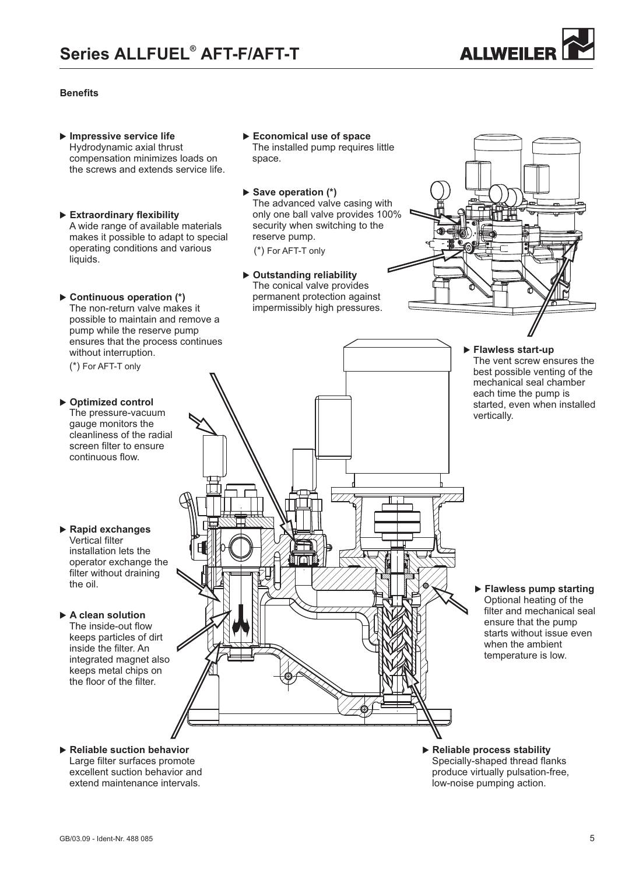

## **Benefits**

- **Impressive service life** Hydrodynamic axial thrust compensation minimizes loads on the screws and extends service life.
- **Extraordinary flexibility** A wide range of available materials makes it possible to adapt to special operating conditions and various liquids.
- ▶ Continuous operation (\*) The non-return valve makes it possible to maintain and remove a pump while the reserve pump ensures that the process continues without interruption.

(\*) For AFT-T only

continuous flow.

- **Optimized control** The pressure-vacuum gauge monitors the cleanliness of the radial screen filter to ensure
- 

- **Rapid exchanges** Vertical filter installation lets the operator exchange the filter without draining the oil.

#### - **A clean solution**

The inside-out flow keeps particles of dirt inside the filter. An integrated magnet also keeps metal chips on the floor of the filter.

- **Economical use of space** The installed pump requires little space.
- ▶ Save operation (\*) The advanced valve casing with only one ball valve provides 100% security when switching to the reserve pump.

(\*) For AFT-T only

▶ Outstanding reliability The conical valve provides permanent protection against impermissibly high pressures.

mı

- **Flawless start-up** The vent screw ensures the best possible venting of the mechanical seal chamber each time the pump is started, even when installed vertically.

- **Flawless pump starting** Optional heating of the filter and mechanical seal ensure that the pump starts without issue even when the ambient temperature is low.

- -**Reliable suction behavior** -Large filter surfaces promote excellent suction behavior and extend maintenance intervals.
- **Reliable process stability**Specially-shaped thread flanks produce virtually pulsation-free, low-noise pumping action.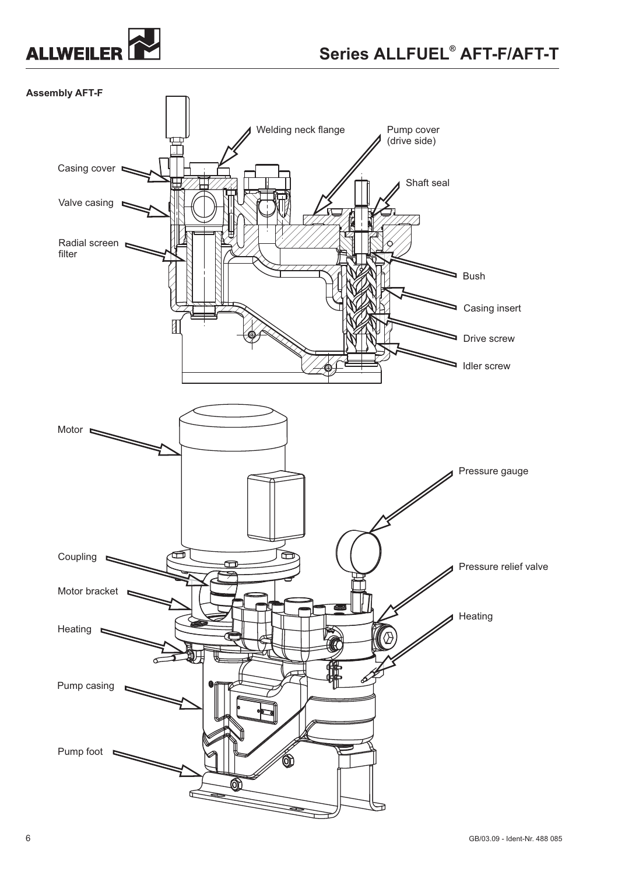

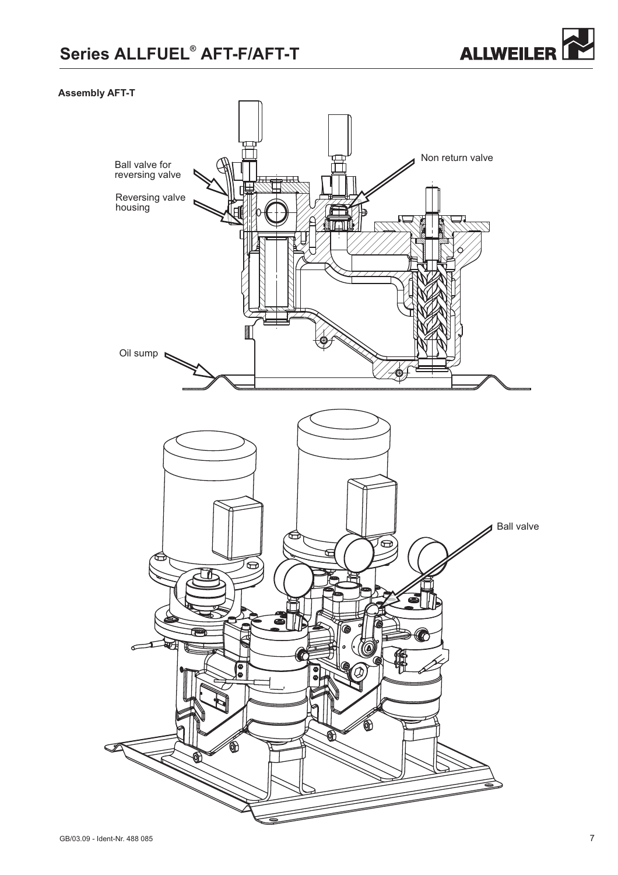## Series ALLFUEL<sup>®</sup> AFT-F/AFT-T



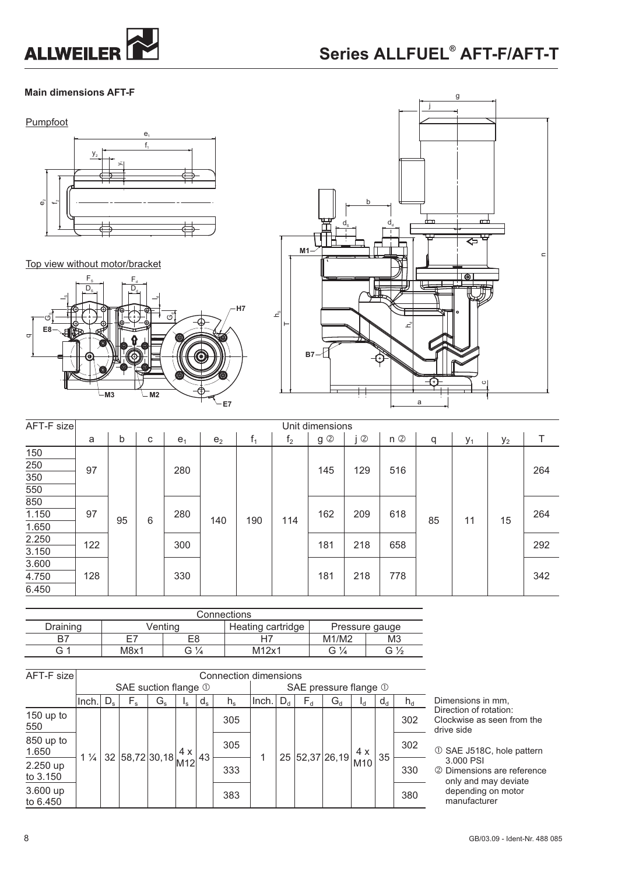

## Series ALLFUEL<sup>®</sup> AFT-F/AFT-T

## **Main dimensions AFT-F**



Top view without motor/bracket





| AFT-F size |     | Unit dimensions |   |                |                |       |                |                          |                |       |    |       |       |     |
|------------|-----|-----------------|---|----------------|----------------|-------|----------------|--------------------------|----------------|-------|----|-------|-------|-----|
|            | a   | b               | C | e <sub>1</sub> | e <sub>2</sub> | $f_1$ | f <sub>2</sub> | g ②                      | $^{\circledR}$ | $n$ ② | q  | $y_1$ | $y_2$ |     |
| 150        |     |                 |   |                |                |       |                |                          |                |       |    |       |       |     |
| 250        | 97  |                 |   | 280            |                |       |                | 145                      | 129            | 516   |    |       |       | 264 |
| 350        |     |                 |   |                |                |       |                | 162<br>618<br>209<br>114 |                |       |    |       |       |     |
| 550        |     |                 |   |                |                |       |                |                          |                |       |    |       |       |     |
| 850        |     | 95              |   | 280<br>6       |                |       |                |                          |                |       |    |       |       |     |
| 1.150      | 97  |                 |   |                | 140            | 190   |                |                          |                |       | 85 | 11    | 15    | 264 |
| 1.650      |     |                 |   |                |                |       |                |                          |                |       |    |       |       |     |
| 2.250      | 122 |                 |   | 300            |                |       |                | 181                      | 218            | 658   |    |       |       | 292 |
| 3.150      |     |                 |   |                |                |       |                |                          |                |       |    |       |       |     |
| 3.600      |     |                 |   |                |                |       |                |                          |                |       |    |       |       |     |
| 4.750      | 128 |                 |   | 330            |                |       |                | 181                      | 218            | 778   |    |       |       | 342 |
| 6.450      |     |                 |   |                |                |       |                |                          |                |       |    |       |       |     |

| Connections |      |                |                   |                |     |  |  |  |  |  |  |
|-------------|------|----------------|-------------------|----------------|-----|--|--|--|--|--|--|
| Draining    |      | Ventina        | Heating cartridge | Pressure gauge |     |  |  |  |  |  |  |
|             | Ε7   | E8             |                   | M1/M2          | MЗ  |  |  |  |  |  |  |
| G           | M8x1 | $\sim$ 1/<br>ت | M12x1             | G ½            | G ½ |  |  |  |  |  |  |

| AFT-F size           |                | Connection dimensions |                                                                                     |             |             |         |             |       |         |       |                                                   |                |       |       |
|----------------------|----------------|-----------------------|-------------------------------------------------------------------------------------|-------------|-------------|---------|-------------|-------|---------|-------|---------------------------------------------------|----------------|-------|-------|
|                      |                | SAE suction flange 1  |                                                                                     |             |             |         |             |       |         |       | SAE pressure flange 1                             |                |       |       |
|                      | llnch.l        | $D_{s}$               | $F_{s}$                                                                             | $G_{\rm s}$ | $I_{\rm S}$ | $d_{s}$ | $h_{\rm s}$ | lnch. | $D_{d}$ | $F_d$ | $\mathrm{G}_{\mathrm{d}}$                         | l <sub>d</sub> | $d_d$ | $h_d$ |
| 150 up to<br>550     |                |                       |                                                                                     |             |             |         | 305         |       |         |       |                                                   |                |       | 302   |
| 850 up to<br>1.650   |                |                       | 32 $58,72$ 30,18 $\begin{array}{ c c } \hline 4 & x \\ \hline 1 & 2 \end{array}$ 43 |             |             |         | 305         |       |         |       | $\frac{1}{25}$ 52,37 26,19 $\frac{4 \times}{100}$ |                | 35    | 302   |
| 2.250 up<br>to 3.150 | $1\frac{1}{4}$ |                       |                                                                                     |             |             |         | 333         |       |         |       |                                                   | M10            |       | 330   |
| 3.600 up<br>to 6.450 |                |                       |                                                                                     |             |             |         | 383         |       |         |       |                                                   |                |       | 380   |

Dimensions in mm, Direction of rotation: Clockwise as seen from the drive side

- SAE J518C, hole pattern 3.000 PSI  $\odot$
- Dimensions are reference only and may deviate depending on motor manufacturer  $\circled{2}$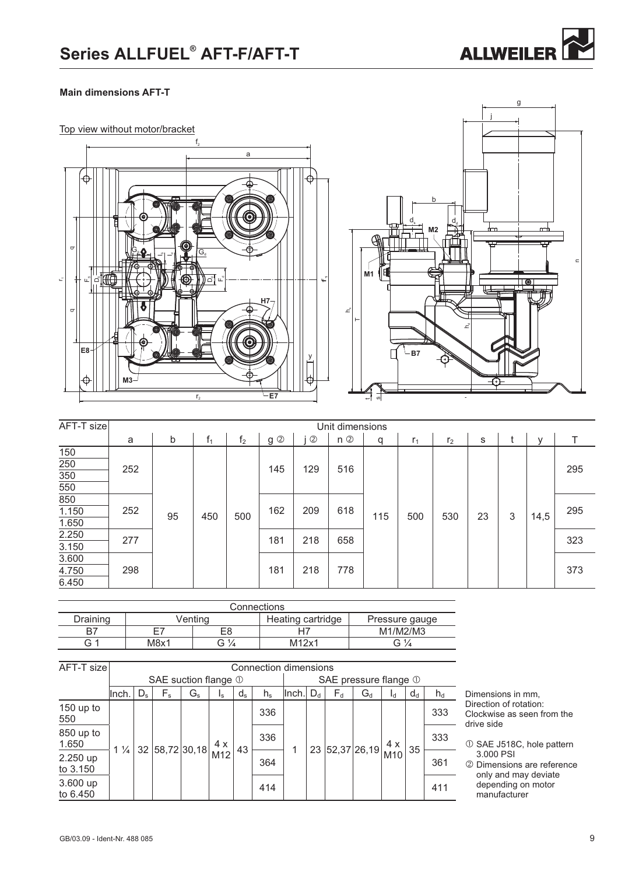

## **Main dimensions AFT-T**





| AFT-T size                     | Unit dimensions |    |     |                |     |                |                    |     |                |                |    |   |      |     |  |
|--------------------------------|-----------------|----|-----|----------------|-----|----------------|--------------------|-----|----------------|----------------|----|---|------|-----|--|
|                                | a               | b  | f,  | f <sub>2</sub> | g ② | $^{\circledR}$ | $n$ $\circledcirc$ | q   | r <sub>1</sub> | r <sub>2</sub> | s  |   | v    |     |  |
| 150<br>250<br>$\overline{350}$ | 252             |    |     |                | 145 | 129            | 516                |     |                |                |    |   |      | 295 |  |
| 550                            |                 |    |     |                |     |                |                    |     |                |                |    |   |      |     |  |
| 850<br>1.150<br>1.650          | 252             | 95 | 450 | 500            | 162 | 209            | 618                | 115 | 500            | 530            | 23 | 3 | 14,5 | 295 |  |
| 2.250<br>3.150                 | 277             |    |     |                | 181 | 218            | 658                |     |                |                |    |   |      | 323 |  |
| 3.600<br>4.750<br>6.450        | 298             |    |     |                | 181 | 218            | 778                |     |                |                |    |   |      | 373 |  |

| Connections |         |         |                   |                |  |  |  |
|-------------|---------|---------|-------------------|----------------|--|--|--|
| Draining    | √entinc |         | Heating cartridge | Pressure gauge |  |  |  |
| B7          | E8<br>⊢ |         |                   | M1/M2/M3       |  |  |  |
| G 1         | M8x1    | ~<br>74 | M12x1             | G 1            |  |  |  |

| AFT-T size           | Connection dimensions          |         |                         |                |             |                       |             |       |         |             |                           |            |       |             |
|----------------------|--------------------------------|---------|-------------------------|----------------|-------------|-----------------------|-------------|-------|---------|-------------|---------------------------|------------|-------|-------------|
|                      | SAE suction flange $\mathbb O$ |         |                         |                |             | SAE pressure flange 1 |             |       |         |             |                           |            |       |             |
|                      | Inch.                          | $D_{s}$ | $\mathsf{F}_\mathsf{s}$ | $G_{\rm s}$    | $I_{\rm S}$ | $d_{s}$               | $h_{\rm s}$ | Inch. | $D_{d}$ | $F_d$       | $\mathsf{G}_{\mathsf{d}}$ | $I_d$      | $d_d$ | $n_{\rm d}$ |
| 150 up to<br>550     | $1\frac{1}{4}$                 |         |                         | 32 58,72 30,18 | 4 x<br>M12  | 43                    | 336         |       | 23      | 52,37 26,19 |                           | 4 x<br>M10 | 35    | 333         |
| 850 up to<br>1.650   |                                |         |                         |                |             |                       | 336         |       |         |             |                           |            |       | 333         |
| 2.250 up<br>to 3.150 |                                |         |                         |                |             |                       | 364         |       |         |             |                           |            |       | 361         |
| 3.600 up<br>to 6.450 |                                |         |                         |                |             |                       | 414         |       |         |             |                           |            |       | 411         |

Dimensions in mm, Direction of rotation: Clockwise as seen from the drive side

- $\overline{O}$  SAE J518C, hole pattern 3.000 PSI
- Dimensions are reference only and may deviate depending on motor manufacturer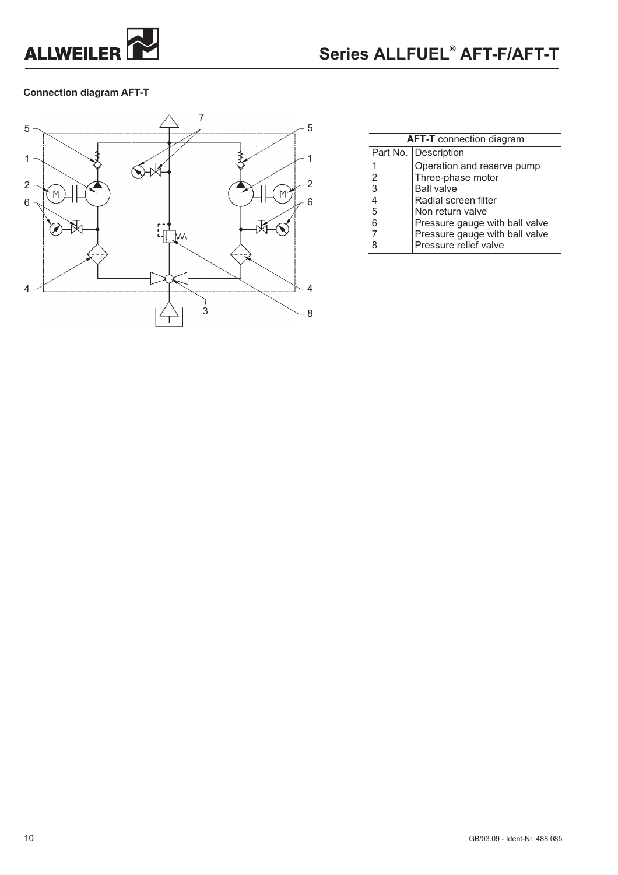

## **Connection diagram AFT-T**



| <b>AFT-T</b> connection diagram |                                |  |  |  |  |  |
|---------------------------------|--------------------------------|--|--|--|--|--|
|                                 | Part No.   Description         |  |  |  |  |  |
| 1                               | Operation and reserve pump     |  |  |  |  |  |
| 2                               | Three-phase motor              |  |  |  |  |  |
| 3                               | <b>Ball valve</b>              |  |  |  |  |  |
| 4                               | Radial screen filter           |  |  |  |  |  |
| 5                               | Non return valve               |  |  |  |  |  |
| 6                               | Pressure gauge with ball valve |  |  |  |  |  |
|                                 | Pressure gauge with ball valve |  |  |  |  |  |
| 8                               | Pressure relief valve          |  |  |  |  |  |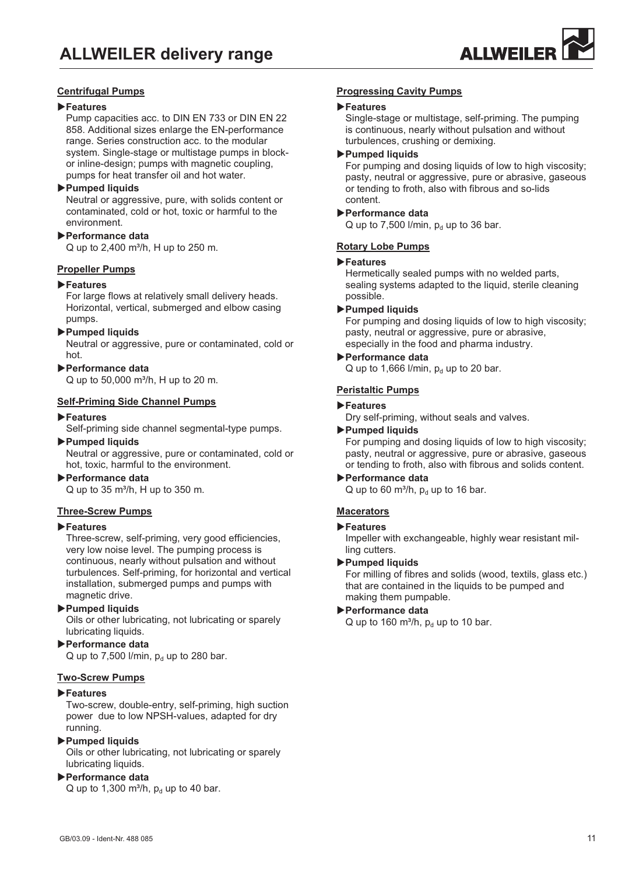

## **Centrifugal Pumps**

#### -**Features**

Pump capacities acc. to DIN EN 733 or DIN EN 22 858. Additional sizes enlarge the EN-performance range. Series construction acc. to the modular system. Single-stage or multistage pumps in blockor inline-design; pumps with magnetic coupling, pumps for heat transfer oil and hot water.

#### -**Pumped liquids**

Neutral or aggressive, pure, with solids content or contaminated, cold or hot, toxic or harmful to the environment.

## -**Performance data**

 $Q$  up to 2,400 m<sup>3</sup>/h, H up to 250 m.

#### **Propeller Pumps**

#### -**Features**

For large flows at relatively small delivery heads. Horizontal, vertical, submerged and elbow casing pumps.

#### -**Pumped liquids**

Neutral or aggressive, pure or contaminated, cold or hot.

#### -**Performance data**

 $Q$  up to 50,000 m<sup>3</sup>/h, H up to 20 m.

#### **Self-Priming Side Channel Pumps**

#### -**Features**

Self-priming side channel segmental-type pumps.

#### -**Pumped liquids**

Neutral or aggressive, pure or contaminated, cold or hot, toxic, harmful to the environment.

#### -**Performance data**

 $Q$  up to 35 m<sup>3</sup>/h, H up to 350 m.

#### **Three-Screw Pumps**

### -**Features**

Three-screw, self-priming, very good efficiencies, very low noise level. The pumping process is continuous, nearly without pulsation and without turbulences. Self-priming, for horizontal and vertical installation, submerged pumps and pumps with magnetic drive.

#### -**Pumped liquids**

Oils or other lubricating, not lubricating or sparely lubricating liquids.

## -**Performance data**

Q up to 7,500 l/min,  $p_d$  up to 280 bar.

## **Two-Screw Pumps**

## -**Features**

Two-screw, double-entry, self-priming, high suction power due to low NPSH-values, adapted for dry running.

## -**Pumped liquids**

Oils or other lubricating, not lubricating or sparely lubricating liquids.

## -**Performance data**

Q up to 1,300 m<sup>3</sup>/h,  $p_d$  up to 40 bar.

## **Progressing Cavity Pumps**

## -**Features**

Single-stage or multistage, self-priming. The pumping is continuous, nearly without pulsation and without turbulences, crushing or demixing.

#### -**Pumped liquids**

For pumping and dosing liquids of low to high viscosity; pasty, neutral or aggressive, pure or abrasive, gaseous or tending to froth, also with fibrous and so-lids content.

#### -**Performance data**

Q up to  $7,500$  l/min,  $p_d$  up to 36 bar.

#### **Rotary Lobe Pumps**

#### -**Features**

Hermetically sealed pumps with no welded parts, sealing systems adapted to the liquid, sterile cleaning possible.

-**Pumped liquids**

For pumping and dosing liquids of low to high viscosity; pasty, neutral or aggressive, pure or abrasive, especially in the food and pharma industry.

#### -**Performance data**

Q up to 1,666 l/min,  $p_d$  up to 20 bar.

## **Peristaltic Pumps**

#### -**Features**

Dry self-priming, without seals and valves.

## -**Pumped liquids**

For pumping and dosing liquids of low to high viscosity; pasty, neutral or aggressive, pure or abrasive, gaseous or tending to froth, also with fibrous and solids content.

## -**Performance data**

Q up to 60 m<sup>3</sup>/h,  $p_d$  up to 16 bar.

#### **Macerators**

### -**Features**

Impeller with exchangeable, highly wear resistant milling cutters.

#### -**Pumped liquids**

For milling of fibres and solids (wood, textils, glass etc.) that are contained in the liquids to be pumped and making them pumpable.

## -**Performance data**

Q up to 160 m<sup>3</sup>/h,  $p_d$  up to 10 bar.